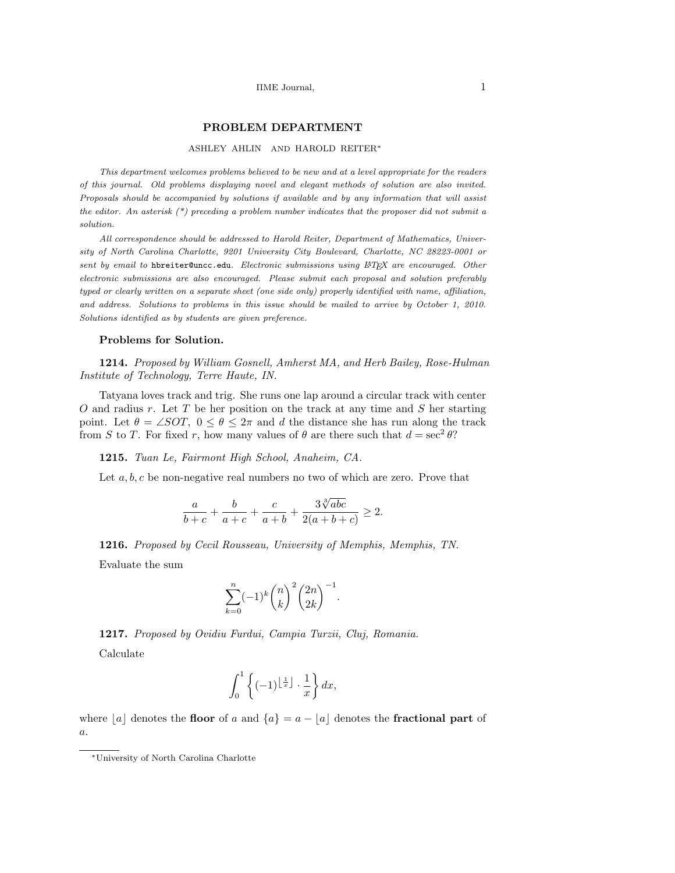## PROBLEM DEPARTMENT

#### ASHLEY AHLIN AND HAROLD REITER<sup>∗</sup>

This department welcomes problems believed to be new and at a level appropriate for the readers of this journal. Old problems displaying novel and elegant methods of solution are also invited. Proposals should be accompanied by solutions if available and by any information that will assist the editor. An asterisk  $(*)$  preceding a problem number indicates that the proposer did not submit a solution.

All correspondence should be addressed to Harold Reiter, Department of Mathematics, University of North Carolina Charlotte, 9201 University City Boulevard, Charlotte, NC 28223-0001 or sent by email to hbreiter@uncc.edu. Electronic submissions using LAT<sub>EX</sub> are encouraged. Other electronic submissions are also encouraged. Please submit each proposal and solution preferably typed or clearly written on a separate sheet (one side only) properly identified with name, affiliation, and address. Solutions to problems in this issue should be mailed to arrive by October 1, 2010. Solutions identified as by students are given preference.

#### Problems for Solution.

1214. Proposed by William Gosnell, Amherst MA, and Herb Bailey, Rose-Hulman Institute of Technology, Terre Haute, IN.

Tatyana loves track and trig. She runs one lap around a circular track with center  $O$  and radius  $r$ . Let  $T$  be her position on the track at any time and  $S$  her starting point. Let  $\theta = \angle SOT$ ,  $0 \le \theta \le 2\pi$  and d the distance she has run along the track from S to T. For fixed r, how many values of  $\theta$  are there such that  $d = \sec^2 \theta$ ?

1215. Tuan Le, Fairmont High School, Anaheim, CA.

Let  $a, b, c$  be non-negative real numbers no two of which are zero. Prove that

$$
\frac{a}{b+c} + \frac{b}{a+c} + \frac{c}{a+b} + \frac{3\sqrt[3]{abc}}{2(a+b+c)} \ge 2.
$$

1216. Proposed by Cecil Rousseau, University of Memphis, Memphis, TN. Evaluate the sum

$$
\sum_{k=0}^{n}(-1)^{k}\binom{n}{k}^{2}\binom{2n}{2k}^{-1}
$$

.

1217. Proposed by Ovidiu Furdui, Campia Turzii, Cluj, Romania. Calculate

$$
\int_0^1 \left\{ (-1)^{\left\lfloor \frac{1}{x} \right\rfloor} \cdot \frac{1}{x} \right\} dx,
$$

where |a| denotes the floor of a and  ${a} = a - |a|$  denotes the fractional part of a.

<sup>∗</sup>University of North Carolina Charlotte